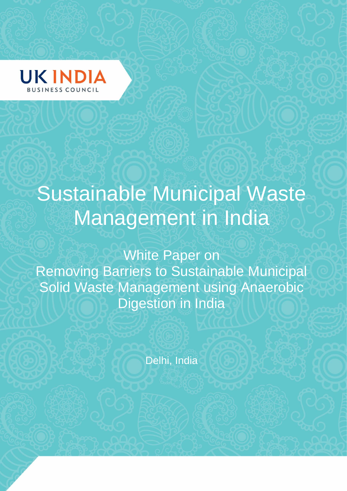

# Sustainable Municipal Waste Management in India

White Paper on Removing Barriers to Sustainable Municipal Solid Waste Management using Anaerobic Digestion in India

Delhi, India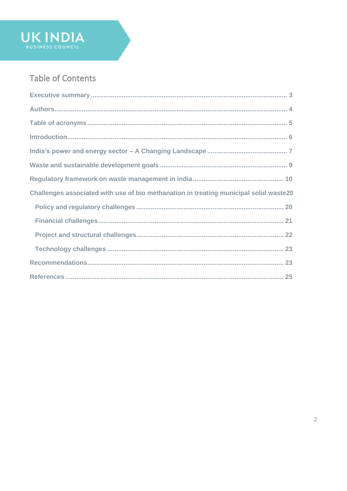# Table of Contents

UK INDIA

| Challenges associated with use of bio methanation in treating municipal solid waste20 |
|---------------------------------------------------------------------------------------|
|                                                                                       |
|                                                                                       |
|                                                                                       |
|                                                                                       |
|                                                                                       |
|                                                                                       |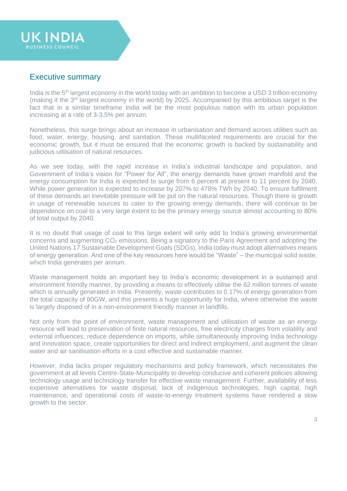<span id="page-2-0"></span>

**UK INDIA** 

India is the 5<sup>th</sup> largest economy in the world today with an ambition to become a USD 3 trillion economy (making it the  $3<sup>rd</sup>$  largest economy in the world) by 2025. Accompanied by this ambitious target is the fact that in a similar timeframe India will be the most populous nation with its urban population increasing at a rate of 3-3.5% per annum.

Nonetheless, this surge brings about an increase in urbanisation and demand across utilities such as food, water, energy, housing, and sanitation. These multifaceted requirements are crucial for the economic growth, but it must be ensured that the economic growth is backed by sustainability and judicious utilisation of natural resources.

As we see today, with the rapid increase in India's industrial landscape and population, and Government of India's vision for "Power for All", the energy demands have grown manifold and the energy consumption for India is expected to surge from 6 percent at present to 11 percent by 2040. While power generation is expected to increase by 207% to 478% TWh by 2040. To ensure fulfilment of these demands an inevitable pressure will be put on the natural resources. Though there is growth in usage of renewable sources to cater to the growing energy demands, there will continue to be dependence on coal to a very large extent to be the primary energy source almost accounting to 80% of total output by 2040.

It is no doubt that usage of coal to this large extent will only add to India's growing environmental concerns and augmenting  $CO<sub>2</sub>$  emissions. Being a signatory to the Paris Agreement and adopting the United Nations 17 Sustainable Development Goals (SDGs), India today must adopt alternatives means of energy generation. And one of the key resources here would be "Waste" – the municipal solid waste, which India generates per annum.

Waste management holds an important key to India's economic development in a sustained and environment friendly manner, by providing a means to effectively utilise the 62 million tonnes of waste which is annually generated in India. Presently, waste contributes to 0.17% of energy generation from the total capacity of 80GW, and this presents a huge opportunity for India, where otherwise the waste is largely disposed of in a non-environment friendly manner in landfills.

Not only from the point of environment, waste management and utilisation of waste as an energy resource will lead to preservation of finite natural resources, free electricity charges from volatility and external influences, reduce dependence on imports, while simultaneously improving India technology and innovation space, create opportunities for direct and indirect employment, and augment the clean water and air sanitisation efforts in a cost effective and sustainable manner.

However, India lacks proper regulatory mechanisms and policy framework, which necessitates the government at all levels Centre-State-Municipality to develop conducive and coherent policies allowing technology usage and technology transfer for effective waste management. Further, availability of less expensive alternatives for waste disposal, lack of indigenous technologies, high capital, high maintenance, and operational costs of waste-to-energy treatment systems have rendered a slow growth to the sector.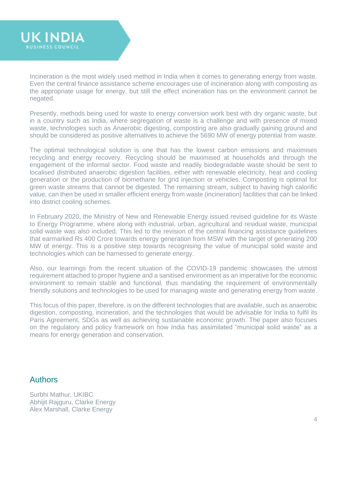

Incineration is the most widely used method in India when it comes to generating energy from waste. Even the central finance assistance scheme encourages use of incineration along with composting as the appropriate usage for energy, but still the effect incineration has on the environment cannot be negated.

Presently, methods being used for waste to energy conversion work best with dry organic waste, but in a country such as India, where segregation of waste is a challenge and with presence of mixed waste, technologies such as Anaerobic digesting, composting are also gradually gaining ground and should be considered as positive alternatives to achieve the 5690 MW of energy potential from waste.

The optimal technological solution is one that has the lowest carbon emissions and maximises recycling and energy recovery. Recycling should be maximised at households and through the engagement of the informal sector. Food waste and readily biodegradable waste should be sent to localised distributed anaerobic digestion facilities, either with renewable electricity, heat and cooling generation or the production of biomethane for grid injection or vehicles. Composting is optimal for green waste streams that cannot be digested. The remaining stream, subject to having high calorific value, can then be used in smaller efficient energy from waste (incineration) facilities that can be linked into district cooling schemes.

In February 2020, the Ministry of New and Renewable Energy issued revised guideline for its Waste to Energy Programme, where along with industrial, urban, agricultural and residual waste, municipal solid waste was also included. This led to the revision of the central financing assistance guidelines that earmarked Rs 400 Crore towards energy generation from MSW with the target of generating 200 MW of energy. This is a positive step towards recognising the value of municipal solid waste and technologies which can be harnessed to generate energy.

Also, our learnings from the recent situation of the COVID-19 pandemic showcases the utmost requirement attached to proper hygiene and a sanitised environment as an imperative for the economic environment to remain stable and functional, thus mandating the requirement of environmentally friendly solutions and technologies to be used for managing waste and generating energy from waste.

This focus of this paper, therefore, is on the different technologies that are available, such as anaerobic digestion, composting, incineration, and the technologies that would be advisable for India to fulfil its Paris Agreement, SDGs as well as achieving sustainable economic growth. The paper also focuses on the regulatory and policy framework on how India has assimilated "municipal solid waste" as a means for energy generation and conservation.

# <span id="page-3-0"></span>Authors

Surbhi Mathur, UKIBC Abhijit Rajguru, Clarke Energy Alex Marshall, Clarke Energy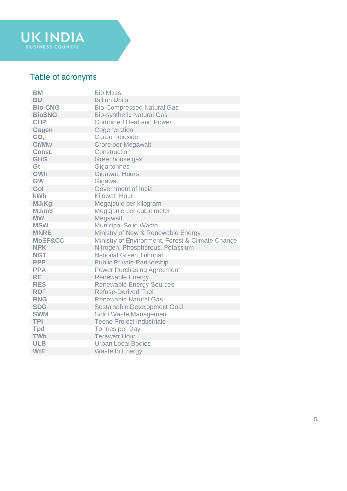

# <span id="page-4-0"></span>Table of acronyms

| <b>BM</b>       | <b>Bio Mass</b>                                  |
|-----------------|--------------------------------------------------|
| <b>BU</b>       | <b>Billion Units</b>                             |
| <b>Bio-CNG</b>  | <b>Bio-Compressed Natural Gas</b>                |
| <b>BioSNG</b>   | <b>Bio-synthetic Natural Gas</b>                 |
| <b>CHP</b>      | <b>Combined Heat and Power</b>                   |
| Cogen           | Cogeneration                                     |
| CO <sub>2</sub> | Carbon-dioxide                                   |
| Cr/Mw           | <b>Crore per Megawatt</b>                        |
| Const.          | Construction                                     |
| <b>GHG</b>      | Greenhouse gas                                   |
| Gt              | Giga tonnes                                      |
| <b>GWh</b>      | <b>Gigawatt Hours</b>                            |
| <b>GW</b>       | Gigawatt                                         |
| Gol             | Government of India                              |
| kWh             | <b>Kilowatt Hour</b>                             |
| MJ/Kg           | Megajoule per kilogram                           |
| MJ/m3           | Megajoule per cubic meter                        |
| <b>MW</b>       | Megawatt                                         |
| <b>MSW</b>      | <b>Municipal Solid Waste</b>                     |
| <b>MNRE</b>     | Ministry of New & Renewable Energy               |
| MoEF&CC         | Ministry of Environment, Forest & Climate Change |
| <b>NPK</b>      | Nitrogen, Phosphorous, Potassium                 |
| <b>NGT</b>      | <b>National Green Tribunal</b>                   |
| <b>PPP</b>      | <b>Public Private Partnership</b>                |
| <b>PPA</b>      | <b>Power Purchasing Agreement</b>                |
| <b>RE</b>       | Renewable Energy                                 |
| <b>RES</b>      | <b>Renewable Energy Sources</b>                  |
| <b>RDF</b>      | <b>Refuse-Derived Fuel</b>                       |
| <b>RNG</b>      | <b>Renewable Natural Gas</b>                     |
| <b>SDG</b>      | <b>Sustainable Development Goal</b>              |
| <b>SWM</b>      | Solid Waste Management                           |
| <b>TPI</b>      | <b>Tecno Project Industriale</b>                 |
| <b>Tpd</b>      | Tonnes per Day                                   |
| <b>TWh</b>      | <b>Terawatt Hour</b>                             |
| <b>ULB</b>      | <b>Urban Local Bodies</b>                        |
| <b>WtE</b>      | <b>Waste to Energy</b>                           |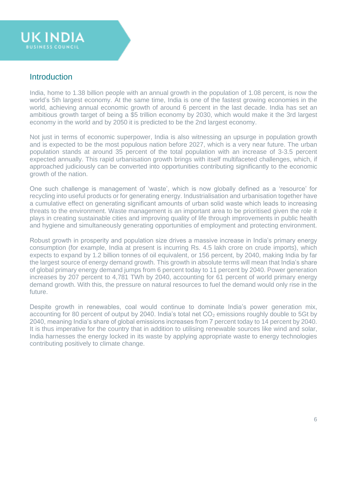

## <span id="page-5-0"></span>**Introduction**

India, home to 1.38 billion people with an annual growth in the population of 1.08 percent, is now the world's 5th largest economy. At the same time, India is one of the fastest growing economies in the world, achieving annual economic growth of around 6 percent in the last decade. India has set an ambitious growth target of being a \$5 trillion economy by 2030, which would make it the 3rd largest economy in the world and by 2050 it is predicted to be the 2nd largest economy.

Not just in terms of economic superpower, India is also witnessing an upsurge in population growth and is expected to be the most populous nation before 2027, which is a very near future. The urban population stands at around 35 percent of the total population with an increase of 3-3.5 percent expected annually. This rapid urbanisation growth brings with itself multifaceted challenges, which, if approached judiciously can be converted into opportunities contributing significantly to the economic growth of the nation.

One such challenge is management of 'waste', which is now globally defined as a 'resource' for recycling into useful products or for generating energy. Industrialisation and urbanisation together have a cumulative effect on generating significant amounts of urban solid waste which leads to increasing threats to the environment. Waste management is an important area to be prioritised given the role it plays in creating sustainable cities and improving quality of life through improvements in public health and hygiene and simultaneously generating opportunities of employment and protecting environment.

Robust growth in prosperity and population size drives a massive increase in India's primary energy consumption (for example, India at present is incurring Rs. 4.5 lakh crore on crude imports), which expects to expand by 1.2 billion tonnes of oil equivalent, or 156 percent, by 2040, making India by far the largest source of energy demand growth. This growth in absolute terms will mean that India's share of global primary energy demand jumps from 6 percent today to 11 percent by 2040. Power generation increases by 207 percent to 4,781 TWh by 2040, accounting for 61 percent of world primary energy demand growth. With this, the pressure on natural resources to fuel the demand would only rise in the future.

Despite growth in renewables, coal would continue to dominate India's power generation mix, accounting for 80 percent of output by 2040. India's total net  $CO<sub>2</sub>$  emissions roughly double to 5Gt by 2040, meaning India's share of global emissions increases from 7 percent today to 14 percent by 2040. It is thus imperative for the country that in addition to utilising renewable sources like wind and solar, India harnesses the energy locked in its waste by applying appropriate waste to energy technologies contributing positively to climate change.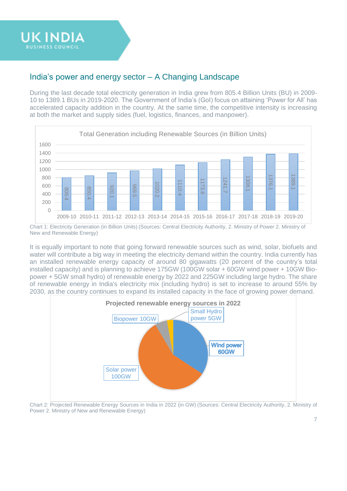# <span id="page-6-0"></span>India's power and energy sector – A Changing Landscape

During the last decade total electricity generation in India grew from 805.4 Billion Units (BU) in 2009- 10 to 1389.1 BUs in 2019-2020. The Government of India's (GoI) focus on attaining 'Power for All' has accelerated capacity addition in the country. At the same time, the competitive intensity is increasing at both the market and supply sides (fuel, logistics, finances, and manpower).



Chart 1: Electricity Generation (in Billion Units) (Sources: Central Electricity Authority, 2. Ministry of Power 2. Ministry of New and Renewable Energy)

It is equally important to note that going forward renewable sources such as wind, solar, biofuels and water will contribute a big way in meeting the electricity demand within the country. India currently has an installed renewable energy capacity of around 80 gigawatts (20 percent of the country's total installed capacity) and is planning to achieve 175GW (100GW solar + 60GW wind power + 10GW Biopower + 5GW small hydro) of renewable energy by 2022 and 225GW including large hydro. The share of renewable energy in India's electricity mix (including hydro) is set to increase to around 55% by 2030, as the country continues to expand its installed capacity in the face of growing power demand.



Chart 2: Projected Renewable Energy Sources in India in 2022 (in GW) (Sources: Central Electricity Authority, 2. Ministry of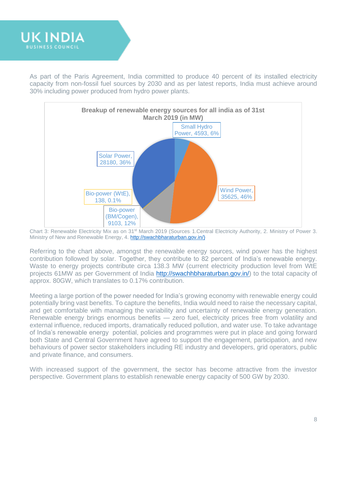

As part of the Paris Agreement, India committed to produce 40 percent of its installed electricity capacity from non-fossil fuel sources by 2030 and as per latest reports, India must achieve around 30% including power produced from hydro power plants.



Chart 3: Renewable Electricity Mix as on 31st March 2019 (Sources: 1.Central Electricity Authority, 2. Ministry of Power 3. Ministry of New and Renewable Energy, 4. [http://swachbharaturban.gov.in/\)](http://swachbharaturban.gov.in/)

Referring to the chart above, amongst the renewable energy sources, wind power has the highest contribution followed by solar. Together, they contribute to 82 percent of India's renewable energy. Waste to energy projects contribute circa 138.3 MW (current electricity production level from WtE projects 61MW as per Government of India [http://swachhbharaturban.gov.in/\)](http://swachhbharaturban.gov.in/) to the total capacity of approx. 80GW, which translates to 0.17% contribution.

Meeting a large portion of the power needed for India's growing economy with renewable energy could potentially bring vast benefits. To capture the benefits, India would need to raise the necessary capital, and get comfortable with managing the variability and uncertainty of renewable energy generation. Renewable energy brings enormous benefits — zero fuel, electricity prices free from volatility and external influence, reduced imports, dramatically reduced pollution, and water use. To take advantage of India's renewable energy potential, policies and programmes were put in place and going forward both State and Central Government have agreed to support the engagement, participation, and new behaviours of power sector stakeholders including RE industry and developers, grid operators, public and private finance, and consumers.

With increased support of the government, the sector has become attractive from the investor perspective. Government plans to establish renewable energy capacity of 500 GW by 2030.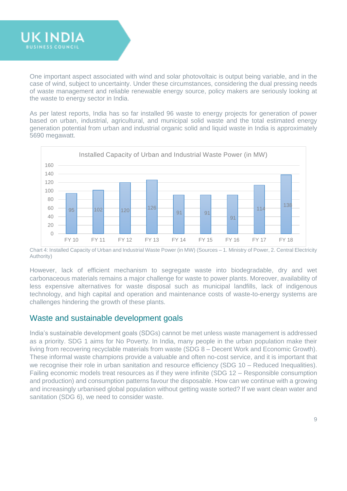

One important aspect associated with wind and solar photovoltaic is output being variable, and in the case of wind, subject to uncertainty. Under these circumstances, considering the dual pressing needs of waste management and reliable renewable energy source, policy makers are seriously looking at the waste to energy sector in India.

As per latest reports, India has so far installed 96 waste to energy projects for generation of power based on urban, industrial, agricultural, and municipal solid waste and the total estimated energy generation potential from urban and industrial organic solid and liquid waste in India is approximately 5690 megawatt.



Chart 4: Installed Capacity of Urban and Industrial Waste Power (in MW) (Sources – 1. Ministry of Power, 2. Central Electricity Authority)

However, lack of efficient mechanism to segregate waste into biodegradable, dry and wet carbonaceous materials remains a major challenge for waste to power plants. Moreover, availability of less expensive alternatives for waste disposal such as municipal landfills, lack of indigenous technology, and high capital and operation and maintenance costs of waste-to-energy systems are challenges hindering the growth of these plants.

# <span id="page-8-0"></span>Waste and sustainable development goals

India's sustainable development goals (SDGs) cannot be met unless waste management is addressed as a priority. SDG 1 aims for No Poverty. In India, many people in the urban population make their living from recovering recyclable materials from waste (SDG 8 – Decent Work and Economic Growth). These informal waste champions provide a valuable and often no-cost service, and it is important that we [recognise their role in urban sanitation and resource efficiency](http://www.huffingtonpost.com/sonia-maria-dias-/in-the-developing-world-waste-can-be-a-vital-resource_b_8147028.html) (SDG 10 – Reduced Inequalities). Failing economic models treat resources as if they were infinite (SDG 12 – Responsible consumption and production) and consumption patterns favour the disposable. How can we continue with a growing and increasingly urbanised global population without getting waste sorted? If we want clean water and sanitation (SDG 6), we need to consider waste.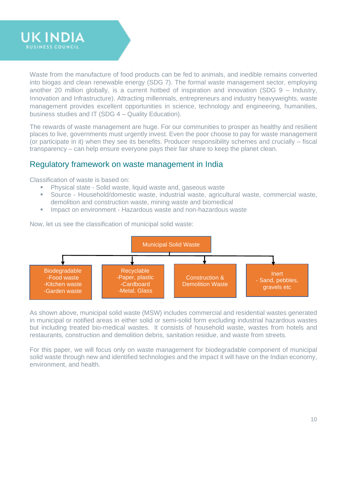

Waste from the manufacture of food products can be fed to animals, and inedible remains converted into biogas and clean renewable energy (SDG 7). The formal waste management sector, employing another 20 million globally, is a current hotbed of inspiration and innovation (SDG 9 – Industry, Innovation and Infrastructure). Attracting millennials, entrepreneurs and industry heavyweights, waste management provides excellent opportunities in science, technology and engineering, humanities, business studies and IT (SDG 4 – Quality Education).

The rewards of waste management are huge. For our communities to prosper as healthy and resilient places to live, governments must urgently invest. Even the poor choose to pay for waste management (or participate in it) when they see its benefits. Producer responsibility schemes and crucially – fiscal transparency – can help ensure everyone pays their fair share to keep the planet clean.

## <span id="page-9-0"></span>Regulatory framework on waste management in India

Classification of waste is based on:

- **E** Physical state Solid waste, liquid waste and, gaseous waste
- Source Household/domestic waste, industrial waste, agricultural waste, commercial waste, demolition and construction waste, mining waste and biomedical
- Impact on environment Hazardous waste and non-hazardous waste

Now, let us see the classification of municipal solid waste:



As shown above, municipal solid waste (MSW) includes commercial and residential wastes generated in municipal or notified areas in either solid or semi-solid form excluding industrial hazardous wastes but including treated bio-medical wastes. It consists of household waste, wastes from hotels and restaurants, construction and demolition debris, sanitation residue, and waste from streets.

For this paper, we will focus only on waste management for biodegradable component of municipal solid waste through new and identified technologies and the impact it will have on the Indian economy, environment, and health.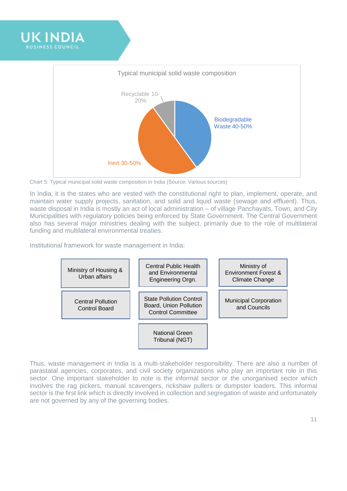



Chart 5: Typical municipal solid waste composition in India (Source: Various sources)

In India, it is the states who are vested with the constitutional right to plan, implement, operate, and maintain water supply projects, sanitation, and solid and liquid waste (sewage and effluent). Thus, waste disposal in India is mostly an act of local administration – of village Panchayats, Town, and City Municipalities with regulatory policies being enforced by State Government. The Central Government also has several major ministries dealing with the subject, primarily due to the role of multilateral funding and multilateral environmental treaties.

Institutional framework for waste management in India:



Thus, waste management in India is a multi-stakeholder responsibility. There are also a number of parastatal agencies, corporates, and civil society organizations who play an important role in this sector. One important stakeholder to note is the informal sector or the unorganised sector which involves the rag pickers, manual scavengers, rickshaw pullers or dumpster loaders. This informal sector is the first link which is directly involved in collection and segregation of waste and unfortunately are not governed by any of the governing bodies.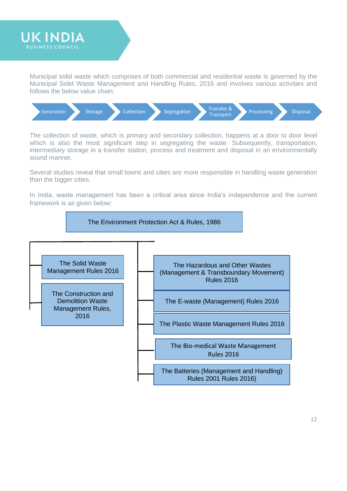

Municipal solid waste which comprises of both commercial and residential waste is governed by the Municipal Solid Waste Management and Handling Rules, 2016 and involves various activities and follows the below value chain:



The collection of waste, which is primary and secondary collection, happens at a door to door level which is also the most significant step in segregating the waste. Subsequently, transportation, intermediary storage in a transfer station, process and treatment and disposal in an environmentally sound manner.

Several studies reveal that small towns and cities are more responsible in handling waste generation than the bigger cities.

In India, waste management has been a critical area since India's independence and the current framework is as given below:

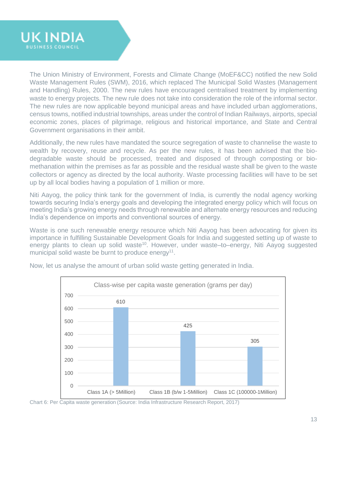

The Union Ministry of Environment, Forests and Climate Change (MoEF&CC) notified the new Solid Waste Management Rules (SWM), 2016, which replaced The [Municipal Solid Wastes \(Management](http://www.indiaenvironmentportal.org.in/reports-documents/municipal-solid-wastes-management-and-handling-rules-2000)  [and Handling\) Rules, 2000.](http://www.indiaenvironmentportal.org.in/reports-documents/municipal-solid-wastes-management-and-handling-rules-2000) The new rules have encouraged centralised treatment by implementing waste to energy projects. The new rule does not take into consideration the role of the informal sector. The new rules are now applicable beyond municipal areas and have included urban agglomerations, census towns, notified industrial townships, areas under the control of Indian Railways, airports, special economic zones, places of pilgrimage, religious and historical importance, and State and Central Government organisations in their ambit.

Additionally, the new rules have mandated the source segregation of waste to channelise the waste to wealth by recovery, reuse and recycle. As per the new rules, it has been advised that the biodegradable waste should be processed, treated and disposed of through composting or biomethanation within the premises as far as possible and the residual waste shall be given to the waste collectors or agency as directed by the local authority. Waste processing facilities will have to be set up by all local bodies having a population of 1 million or more.

Niti Aayog, the policy think tank for the government of India, is currently the nodal agency working towards securing India's energy goals and developing the integrated energy policy which will focus on meeting India's growing energy needs through renewable and alternate energy resources and reducing India's dependence on imports and conventional sources of energy.

Waste is one such renewable energy resource which Niti Aayog has been advocating for given its importance in fulfilling Sustainable Development Goals for India and suggested setting up of waste to energy plants to clean up solid waste<sup>10</sup>. However, under waste–to–energy, Niti Aayog suggested municipal solid waste be burnt to produce energy<sup>11</sup>.



Now, let us analyse the amount of urban solid waste getting generated in India.

Chart 6: Per Capita waste generation (Source: India Infrastructure Research Report, 2017)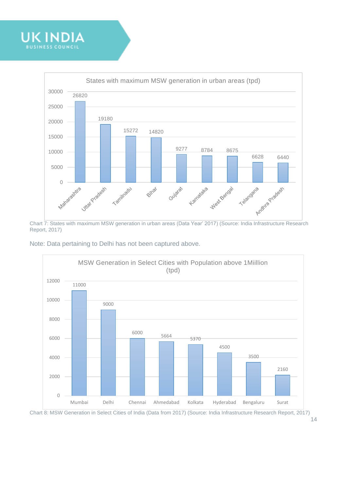



Chart 7: States with maximum MSW generation in urban areas (Data Year' 2017) (Source: India Infrastructure Research Report, 2017)





Chart 8: MSW Generation in Select Cities of India (Data from 2017) (Source: India Infrastructure Research Report, 2017)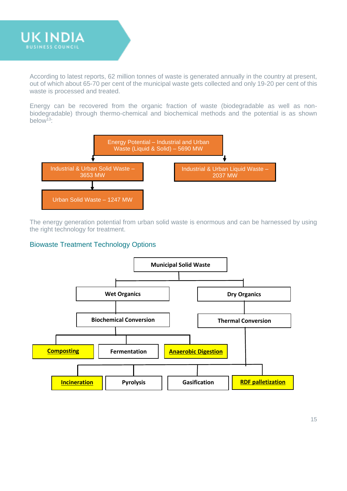

According to latest reports, 62 million tonnes of waste is generated annually in the country at present, out of which about 65-70 per cent of the municipal waste gets collected and only 19-20 per cent of this waste is processed and treated.

Energy can be recovered from the organic fraction of waste (biodegradable as well as nonbiodegradable) through thermo-chemical and biochemical methods and the potential is as shown below<sup> $13$ </sup>:



The energy generation potential from urban solid waste is enormous and can be harnessed by using the right technology for treatment.

#### Biowaste Treatment Technology Options

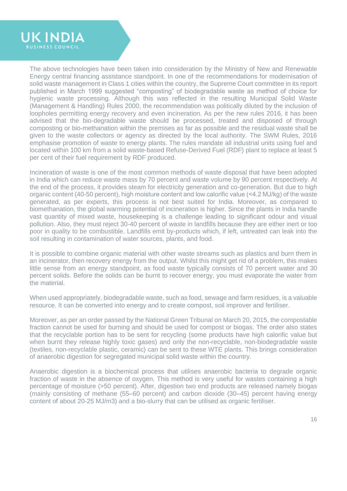

The above technologies have been taken into consideration by the Ministry of New and Renewable Energy central financing assistance standpoint. In one of the recommendations for modernisation of solid waste management in Class 1 cities within the country, the Supreme Court committee in its report published in March 1999 suggested "composting" of biodegradable waste as method of choice for hygienic waste processing. Although this was reflected in the resulting Municipal Solid Waste (Management & Handling) Rules 2000, the recommendation was politically diluted by the inclusion of loopholes permitting energy recovery and even incineration. As per the new rules 2016, it has been advised that the bio-degradable waste should be processed, treated and disposed of through composting or bio-methanation within the premises as far as possible and the residual waste shall be given to the waste collectors or agency as directed by the local authority. The SWM Rules, 2016 emphasise promotion of waste to energy plants. The rules mandate all industrial units using fuel and located within 100 km from a solid waste-based Refuse-Derived Fuel (RDF) plant to replace at least 5 per cent of their fuel requirement by RDF produced.

Incineration of waste is one of the most common methods of waste disposal that have been adopted in India which can reduce waste mass by 70 percent and waste volume by 90 percent respectively. At the end of the process, it provides steam for electricity generation and co-generation. But due to high organic content (40-50 percent), high moisture content and low calorific value (<4.2 MJ/kg) of the waste generated, as per experts, this process is not best suited for India. Moreover, as compared to biomethanation, the global warming potential of incineration is higher. Since the plants in India handle vast quantity of mixed waste, housekeeping is a challenge leading to significant odour and visual pollution. Also, they must reject 30-40 percent of waste in landfills because they are either inert or too poor in quality to be combustible. Landfills emit by-products which, if left, untreated can leak into the soil resulting in contamination of water sources, plants, and food.

It is possible to combine organic material with other waste streams such as plastics and burn them in an incinerator, then recovery energy from the output. Whilst this might get rid of a problem, this makes little sense from an energy standpoint, as food waste typically consists of 70 percent water and 30 percent solids. Before the solids can be burnt to recover energy, you must evaporate the water from the material.

When used appropriately, biodegradable waste, such as food, sewage and farm residues, is a valuable resource. It can be converted into energy and to create compost, soil improver and fertiliser.

Moreover, as per an order passed by the National Green Tribunal on March 20, 2015, the compostable fraction cannot be used for burning and should be used for compost or biogas. The order also states that the recyclable portion has to be sent for recycling (some products have high calorific value but when burnt they release highly toxic gases) and only the non-recyclable, non-biodegradable waste (textiles, non-recyclable plastic, ceramic) can be sent to these WTE plants. This brings consideration of anaerobic digestion for segregated municipal solid waste within the country.

Anaerobic digestion is a biochemical process that utilises anaerobic bacteria to degrade organic fraction of waste in the absence of oxygen. This method is very useful for wastes containing a high percentage of moisture (>50 percent). After, digestion two end products are released namely biogas (mainly consisting of methane (55–60 percent) and carbon dioxide (30–45) percent having energy content of about 20-25 MJ/m3) and a bio-slurry that can be utilised as organic fertiliser.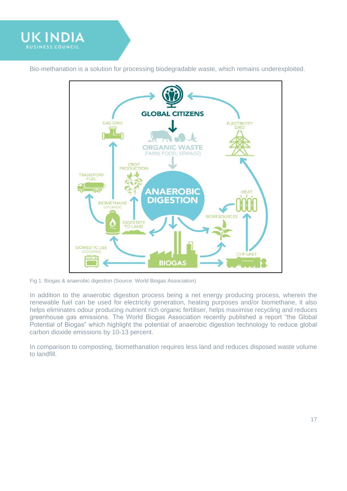

Bio-methanation is a solution for processing biodegradable waste, which remains underexploited.



Fig 1: Biogas & anaerobic digestion (Source: World Biogas Association)

In addition to the anaerobic digestion process being a net energy producing process, wherein the renewable fuel can be used for electricity generation, heating purposes and/or biomethane, it also helps eliminates odour producing nutrient rich organic fertiliser, helps maximise recycling and reduces greenhouse gas emissions. The World Biogas Association recently published a report "the Global Potential of Biogas" which highlight the potential of anaerobic digestion technology to reduce global carbon dioxide emissions by 10-13 percent.

In comparison to composting, biomethanation requires less land and reduces disposed waste volume to landfill.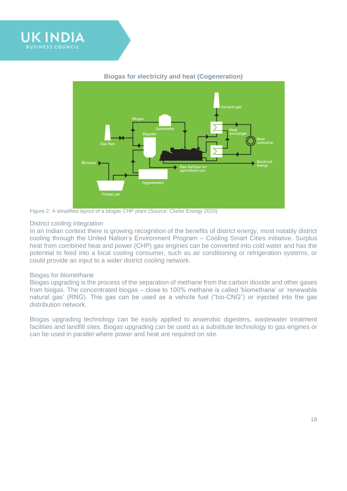



#### **Biogas for electricity and heat (Cogeneration)**

Figure 2: A simplified layout of a biogas CHP plant (Source: Clarke Energy 2020)

#### District cooling integration

In an Indian context there is growing recognition of the benefits of district energy, most notably district cooling through the United Nation's Environment Program – Cooling Smart Cities initiative. Surplus heat from combined heat and power (CHP) gas engines can be converted into cold water and has the potential to feed into a local cooling consumer, such as air conditioning or refrigeration systems, or could provide an input to a wider district cooling network.

#### Biogas for biomethane

Biogas upgrading is the process of the separation of methane from the carbon dioxide and other gases from biogas. The concentrated biogas – close to 100% methane is called 'biomethane' or 'renewable natural gas' (RNG). This gas can be used as a vehicle fuel ("bio-CNG") or injected into the gas distribution network.

Biogas upgrading technology can be easily applied to anaerobic digesters, wastewater treatment facilities and landfill sites. Biogas upgrading can be used as a substitute technology to gas engines or can be used in parallel where power and heat are required on site.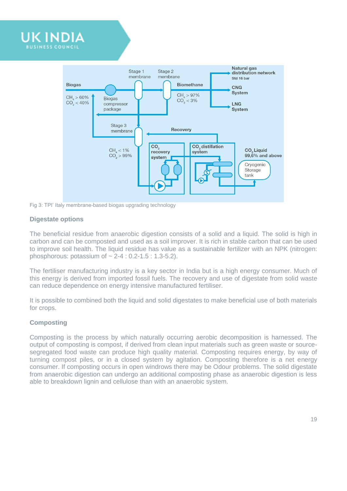

Fig 3: TPI' Italy membrane-based biogas upgrading technology

#### **Digestate options**

The beneficial residue from anaerobic digestion consists of a solid and a liquid. The solid is high in carbon and can be composted and used as a soil improver. It is rich in stable carbon that can be used to improve soil health. The liquid residue has value as a sustainable fertilizer with an NPK (nitrogen: phosphorous: potassium of  $\sim 2-4$  : 0.2-1.5 : 1.3-5.2).

The fertiliser manufacturing industry is a key sector in India but is a high energy consumer. Much of this energy is derived from imported fossil fuels. The recovery and use of digestate from solid waste can reduce dependence on energy intensive manufactured fertiliser.

It is possible to combined both the liquid and solid digestates to make beneficial use of both materials for crops.

#### **Composting**

Composting is the process by which naturally occurring aerobic decomposition is harnessed. The output of composting is compost, if derived from clean input materials such as green waste or sourcesegregated food waste can produce high quality material. Composting requires energy, by way of turning compost piles, or in a closed system by agitation. Composting therefore is a net energy consumer. If composting occurs in open windrows there may be Odour problems. The solid digestate from anaerobic digestion can undergo an additional composting phase as anaerobic digestion is less able to breakdown lignin and cellulose than with an anaerobic system.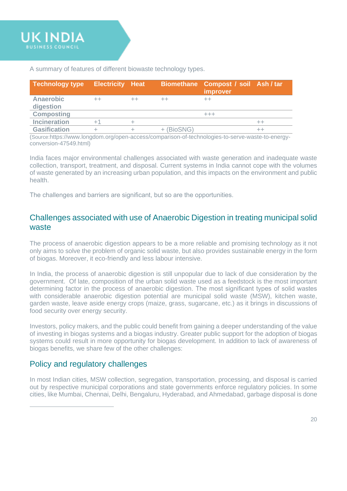A summary of features of different biowaste technology types.

| <b>Technology type</b>        | <b>Electricity Heat</b> |            | Biomethane Compost / soil Ash / tar<br>improver |    |
|-------------------------------|-------------------------|------------|-------------------------------------------------|----|
| <b>Anaerobic</b><br>digestion |                         | $^{++}$    | $^{++}$                                         |    |
| <b>Composting</b>             |                         |            | +++                                             |    |
| <b>Incineration</b>           |                         |            |                                                 | ++ |
| <b>Gasification</b>           |                         | + (BioSNG) |                                                 |    |

(Source:[https://www.longdom.org/open-access/comparison-of-technologies-to-serve-waste-to-energy](https://www.longdom.org/open-access/comparison-of-technologies-to-serve-waste-to-energy-conversion-47549.html)[conversion-47549.html\)](https://www.longdom.org/open-access/comparison-of-technologies-to-serve-waste-to-energy-conversion-47549.html)

India faces major environmental challenges associated with waste generation and inadequate waste collection, transport, treatment, and disposal. Current systems in India cannot cope with the volumes of waste generated by an increasing urban population, and this impacts on the environment and public health.

The challenges and barriers are significant, but so are the opportunities.

# <span id="page-19-0"></span>Challenges associated with use of Anaerobic Digestion in treating municipal solid waste

The process of anaerobic digestion appears to be a more reliable and promising technology as it not only aims to solve the problem of organic solid waste, but also provides sustainable energy in the form of biogas. Moreover, it eco-friendly and less labour intensive.

In India, the process of anaerobic digestion is still unpopular due to lack of due consideration by the government. Of late, composition of the urban solid waste used as a feedstock is the most important determining factor in the process of anaerobic digestion. The most significant types of solid wastes with considerable anaerobic digestion potential are municipal solid waste (MSW), kitchen waste, garden waste, leave aside energy crops (maize, grass, sugarcane, etc.) as it brings in discussions of food security over energy security.

Investors, policy makers, and the public could benefit from gaining a deeper understanding of the value of investing in biogas systems and a biogas industry. Greater public support for the adoption of biogas systems could result in more opportunity for biogas development. In addition to lack of awareness of biogas benefits, we share few of the other challenges:

# <span id="page-19-1"></span>Policy and regulatory challenges

In most Indian cities, MSW collection, segregation, transportation, processing, and disposal is carried out by respective municipal corporations and state governments enforce regulatory policies. In some cities, like Mumbai, Chennai, Delhi, Bengaluru, Hyderabad, and Ahmedabad, garbage disposal is done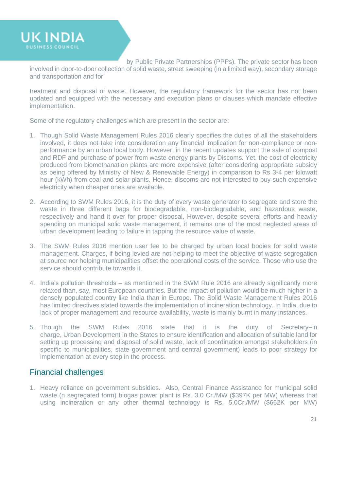**UK INDIA** 

by Public Private Partnerships (PPPs). The private sector has been involved in door-to-door collection of solid waste, street sweeping (in a limited way), secondary storage and transportation and for

treatment and disposal of waste. However, the regulatory framework for the sector has not been updated and equipped with the necessary and execution plans or clauses which mandate effective implementation.

Some of the regulatory challenges which are present in the sector are:

- 1. Though Solid Waste Management Rules 2016 clearly specifies the duties of all the stakeholders involved, it does not take into consideration any financial implication for non-compliance or nonperformance by an urban local body. However, in the recent updates support the sale of compost and RDF and purchase of power from waste energy plants by Discoms. Yet, the cost of electricity produced from biomethanation plants are more expensive (after considering appropriate subsidy as being offered by Ministry of New & Renewable Energy) in comparison to Rs 3-4 per kilowatt hour (kWh) from coal and solar plants. Hence, discoms are not interested to buy such expensive electricity when cheaper ones are available.
- 2. According to SWM Rules 2016, it is the duty of every waste generator to segregate and store the waste in three different bags for biodegradable, non-biodegradable, and hazardous waste, respectively and hand it over for proper disposal. However, despite several efforts and heavily spending on municipal solid waste management, it remains one of the most neglected areas of urban development leading to failure in tapping the resource value of waste.
- 3. The SWM Rules 2016 mention user fee to be charged by urban local bodies for solid waste management. Charges, if being levied are not helping to meet the objective of waste segregation at source nor helping municipalities offset the operational costs of the service. Those who use the service should contribute towards it.
- 4. India's pollution thresholds as mentioned in the SWM Rule 2016 are already significantly more relaxed than, say, most European countries. But the impact of pollution would be much higher in a densely populated country like India than in Europe. The Solid Waste Management Rules 2016 has limited directives stated towards the implementation of incineration technology. In India, due to lack of proper management and resource availability, waste is mainly burnt in many instances.
- 5. Though the SWM Rules 2016 state that it is the duty of Secretary–in charge, Urban Development in the States to ensure identification and allocation of suitable land for setting up processing and disposal of solid waste, lack of coordination amongst stakeholders (in specific to municipalities, state government and central government) leads to poor strategy for implementation at every step in the process.

# <span id="page-20-0"></span>Financial challenges

1. Heavy reliance on government subsidies. Also, Central Finance Assistance for municipal solid waste (n segregated form) biogas power plant is Rs. 3.0 Cr./MW (\$397K per MW) whereas that using incineration or any other thermal technology is Rs. 5.0Cr./MW (\$662K per MW)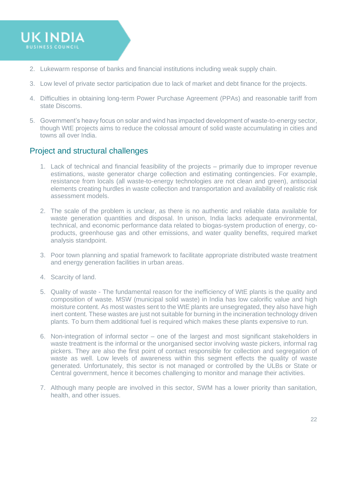

- 2. Lukewarm response of banks and financial institutions including weak supply chain.
- 3. Low level of private sector participation due to lack of market and debt finance for the projects.
- 4. Difficulties in obtaining long-term Power Purchase Agreement (PPAs) and reasonable tariff from state Discoms.
- 5. Government's heavy focus on solar and wind has impacted development of waste-to-energy sector, though WtE projects aims to reduce the colossal amount of solid waste accumulating in cities and towns all over India.

# <span id="page-21-0"></span>Project and structural challenges

- 1. Lack of technical and financial feasibility of the projects primarily due to improper revenue estimations, waste generator charge collection and estimating contingencies. For example, resistance from locals (all waste-to-energy technologies are not clean and green), antisocial elements creating hurdles in waste collection and transportation and availability of realistic risk assessment models.
- 2. The scale of the problem is unclear, as there is no authentic and reliable data available for waste generation quantities and disposal. In unison, India lacks adequate environmental, technical, and economic performance data related to biogas-system production of energy, coproducts, greenhouse gas and other emissions, and water quality benefits, required market analysis standpoint.
- 3. Poor town planning and spatial framework to facilitate appropriate distributed waste treatment and energy generation facilities in urban areas.
- 4. Scarcity of land.
- 5. Quality of waste The fundamental reason for the inefficiency of WtE plants is the quality and composition of waste. MSW (municipal solid waste) in India has low calorific value and high moisture content. As most wastes sent to the WtE plants are unsegregated, they also have high inert content. These wastes are just not suitable for burning in the incineration technology driven plants. To burn them additional fuel is required which makes these plants expensive to run.
- 6. Non-integration of informal sector one of the largest and most significant stakeholders in waste treatment is the informal or the unorganised sector involving waste pickers, informal rag pickers. They are also the first point of contact responsible for collection and segregation of waste as well. Low levels of awareness within this segment effects the quality of waste generated. Unfortunately, this sector is not managed or controlled by the ULBs or State or Central government, hence it becomes challenging to monitor and manage their activities.
- 7. Although many people are involved in this sector, SWM has a lower priority than sanitation, health, and other issues.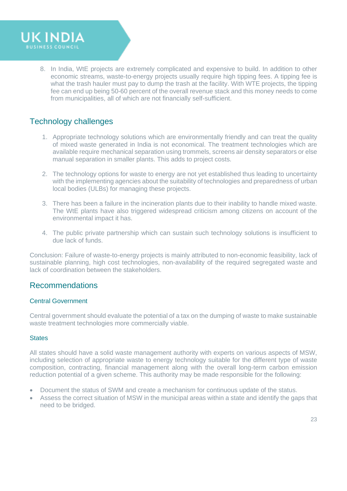

8. In India, WtE projects are extremely complicated and expensive to build. In addition to other economic streams, waste-to-energy projects usually require high tipping fees. A tipping fee is what the trash hauler must pay to dump the trash at the facility. With WTE projects, the tipping fee can end up being 50-60 percent of the overall revenue stack and this money needs to come from municipalities, all of which are not financially self-sufficient.

# <span id="page-22-0"></span>Technology challenges

- 1. Appropriate technology solutions which are environmentally friendly and can treat the quality of mixed waste generated in India is not economical. The treatment technologies which are available require mechanical separation using trommels, screens air density separators or else manual separation in smaller plants. This adds to project costs.
- 2. The technology options for waste to energy are not yet established thus leading to uncertainty with the implementing agencies about the suitability of technologies and preparedness of urban local bodies (ULBs) for managing these projects.
- 3. There has been a failure in the incineration plants due to their inability to handle mixed waste. The WtE plants have also triggered widespread criticism among citizens on account of the environmental impact it has.
- 4. The public private partnership which can sustain such technology solutions is insufficient to due lack of funds.

Conclusion: Failure of waste-to-energy projects is mainly attributed to non-economic feasibility, lack of sustainable planning, high cost technologies, non-availability of the required segregated waste and lack of coordination between the stakeholders.

### <span id="page-22-1"></span>Recommendations

#### Central Government

Central government should evaluate the potential of a tax on the dumping of waste to make sustainable waste treatment technologies more commercially viable.

#### **States**

All states should have a solid waste management authority with experts on various aspects of MSW, including selection of appropriate waste to energy technology suitable for the different type of waste composition, contracting, financial management along with the overall long-term carbon emission reduction potential of a given scheme. This authority may be made responsible for the following:

- Document the status of SWM and create a mechanism for continuous update of the status.
- Assess the correct situation of MSW in the municipal areas within a state and identify the gaps that need to be bridged.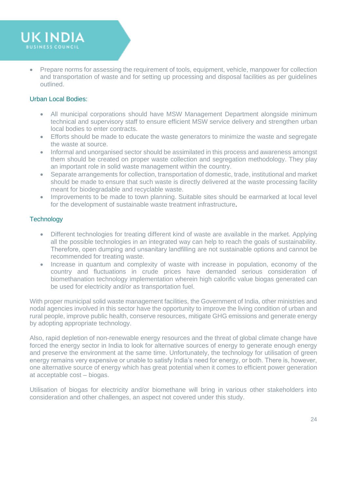

• Prepare norms for assessing the requirement of tools, equipment, vehicle, manpower for collection and transportation of waste and for setting up processing and disposal facilities as per guidelines outlined.

#### Urban Local Bodies:

- All municipal corporations should have MSW Management Department alongside minimum technical and supervisory staff to ensure efficient MSW service delivery and strengthen urban local bodies to enter contracts.
- Efforts should be made to educate the waste generators to minimize the waste and segregate the waste at source.
- Informal and unorganised sector should be assimilated in this process and awareness amongst them should be created on proper waste collection and segregation methodology. They play an important role in solid waste management within the country.
- Separate arrangements for collection, transportation of domestic, trade, institutional and market should be made to ensure that such waste is directly delivered at the waste processing facility meant for biodegradable and recyclable waste.
- Improvements to be made to town planning. Suitable sites should be earmarked at local level for the development of sustainable waste treatment infrastructure.

#### **Technology**

- Different technologies for treating different kind of waste are available in the market. Applying all the possible technologies in an integrated way can help to reach the goals of sustainability. Therefore, open dumping and unsanitary landfilling are not sustainable options and cannot be recommended for treating waste.
- Increase in quantum and complexity of waste with increase in population, economy of the country and fluctuations in crude prices have demanded serious consideration of biomethanation technology implementation wherein high calorific value biogas generated can be used for electricity and/or as transportation fuel.

With proper municipal solid waste management facilities, the Government of India, other ministries and nodal agencies involved in this sector have the opportunity to improve the living condition of urban and rural people, improve public health, conserve resources, mitigate GHG emissions and generate energy by adopting appropriate technology.

Also, rapid depletion of non-renewable energy resources and the threat of global climate change have forced the energy sector in India to look for alternative sources of energy to generate enough energy and preserve the environment at the same time. Unfortunately, the technology for utilisation of green energy remains very expensive or unable to satisfy India's need for energy, or both. There is, however, one alternative source of energy which has great potential when it comes to efficient power generation at acceptable cost – biogas.

Utilisation of biogas for electricity and/or biomethane will bring in various other stakeholders into consideration and other challenges, an aspect not covered under this study.